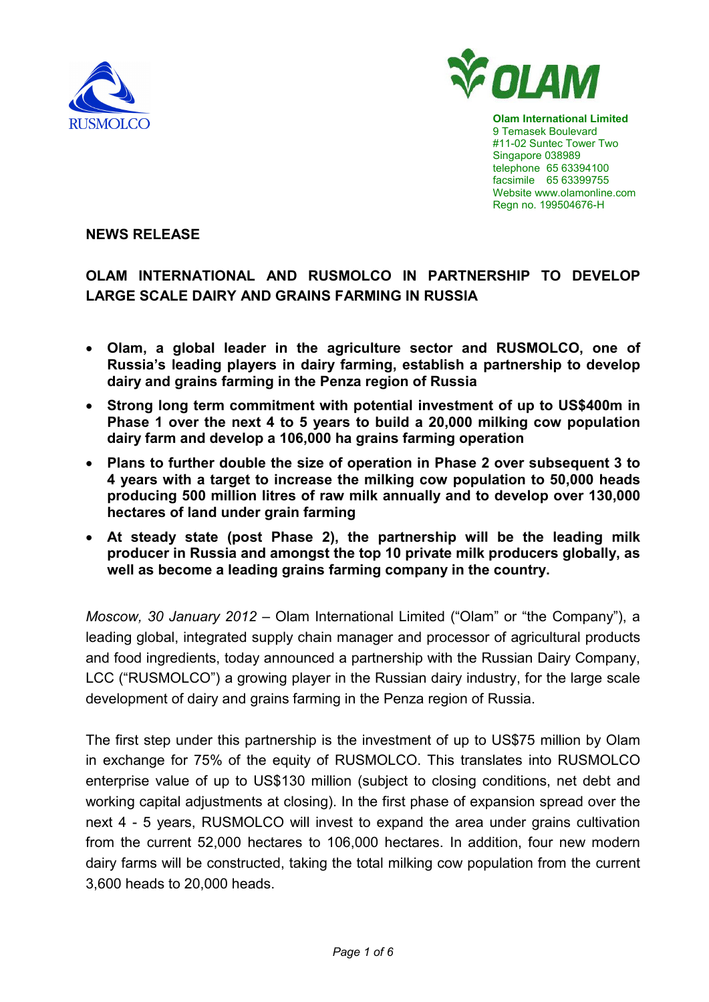



**Olam International Limited**  9 Temasek Boulevard #11-02 Suntec Tower Two Singapore 038989 telephone 65 63394100 facsimile 65 63399755 Website www.olamonline.com Regn no. 199504676-H

**NEWS RELEASE** 

# **OLAM INTERNATIONAL AND RUSMOLCO IN PARTNERSHIP TO DEVELOP LARGE SCALE DAIRY AND GRAINS FARMING IN RUSSIA**

- **Olam, a global leader in the agriculture sector and RUSMOLCO, one of Russia's leading players in dairy farming, establish a partnership to develop dairy and grains farming in the Penza region of Russia**
- **Strong long term commitment with potential investment of up to US\$400m in Phase 1 over the next 4 to 5 years to build a 20,000 milking cow population dairy farm and develop a 106,000 ha grains farming operation**
- **Plans to further double the size of operation in Phase 2 over subsequent 3 to 4 years with a target to increase the milking cow population to 50,000 heads producing 500 million litres of raw milk annually and to develop over 130,000 hectares of land under grain farming**
- **At steady state (post Phase 2), the partnership will be the leading milk producer in Russia and amongst the top 10 private milk producers globally, as well as become a leading grains farming company in the country.**

*Moscow, 30 January 2012* – Olam International Limited ("Olam" or "the Company"), a leading global, integrated supply chain manager and processor of agricultural products and food ingredients, today announced a partnership with the Russian Dairy Company, LCC ("RUSMOLCO") a growing player in the Russian dairy industry, for the large scale development of dairy and grains farming in the Penza region of Russia.

The first step under this partnership is the investment of up to US\$75 million by Olam in exchange for 75% of the equity of RUSMOLCO. This translates into RUSMOLCO enterprise value of up to US\$130 million (subject to closing conditions, net debt and working capital adjustments at closing). In the first phase of expansion spread over the next 4 - 5 years, RUSMOLCO will invest to expand the area under grains cultivation from the current 52,000 hectares to 106,000 hectares. In addition, four new modern dairy farms will be constructed, taking the total milking cow population from the current 3,600 heads to 20,000 heads.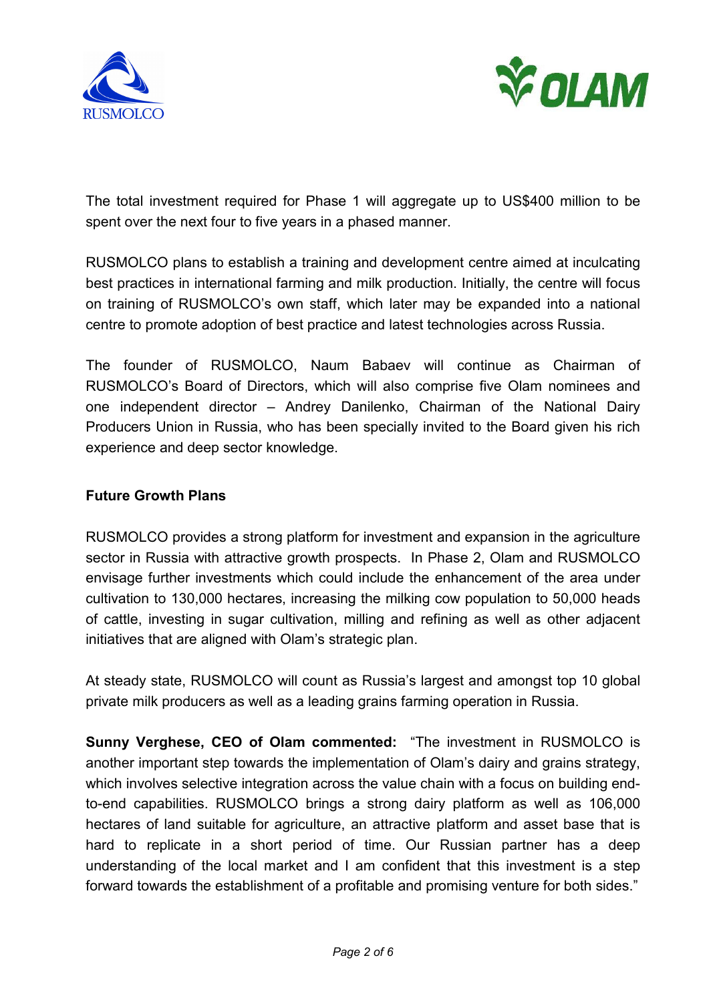



The total investment required for Phase 1 will aggregate up to US\$400 million to be spent over the next four to five years in a phased manner.

RUSMOLCO plans to establish a training and development centre aimed at inculcating best practices in international farming and milk production. Initially, the centre will focus on training of RUSMOLCO's own staff, which later may be expanded into a national centre to promote adoption of best practice and latest technologies across Russia.

The founder of RUSMOLCO, Naum Babaev will continue as Chairman of RUSMOLCO's Board of Directors, which will also comprise five Olam nominees and one independent director – Andrey Danilenko, Chairman of the National Dairy Producers Union in Russia, who has been specially invited to the Board given his rich experience and deep sector knowledge.

## **Future Growth Plans**

RUSMOLCO provides a strong platform for investment and expansion in the agriculture sector in Russia with attractive growth prospects. In Phase 2, Olam and RUSMOLCO envisage further investments which could include the enhancement of the area under cultivation to 130,000 hectares, increasing the milking cow population to 50,000 heads of cattle, investing in sugar cultivation, milling and refining as well as other adjacent initiatives that are aligned with Olam's strategic plan.

At steady state, RUSMOLCO will count as Russia's largest and amongst top 10 global private milk producers as well as a leading grains farming operation in Russia.

**Sunny Verghese, CEO of Olam commented:** "The investment in RUSMOLCO is another important step towards the implementation of Olam's dairy and grains strategy, which involves selective integration across the value chain with a focus on building endto-end capabilities. RUSMOLCO brings a strong dairy platform as well as 106,000 hectares of land suitable for agriculture, an attractive platform and asset base that is hard to replicate in a short period of time. Our Russian partner has a deep understanding of the local market and I am confident that this investment is a step forward towards the establishment of a profitable and promising venture for both sides."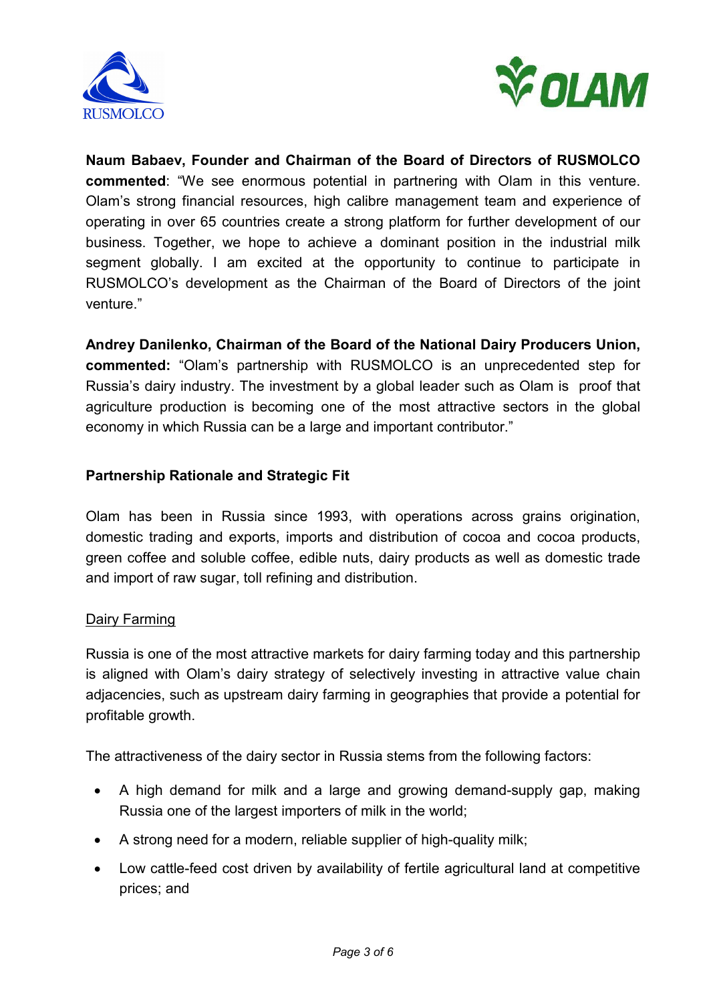



**Naum Babaev, Founder and Chairman of the Board of Directors of RUSMOLCO commented**: "We see enormous potential in partnering with Olam in this venture. Olam's strong financial resources, high calibre management team and experience of operating in over 65 countries create a strong platform for further development of our business. Together, we hope to achieve a dominant position in the industrial milk segment globally. I am excited at the opportunity to continue to participate in RUSMOLCO's development as the Chairman of the Board of Directors of the joint venture."

**Andrey Danilenko, Chairman of the Board of the National Dairy Producers Union, commented:** "Olam's partnership with RUSMOLCO is an unprecedented step for Russia's dairy industry. The investment by a global leader such as Olam is proof that agriculture production is becoming one of the most attractive sectors in the global economy in which Russia can be a large and important contributor."

## **Partnership Rationale and Strategic Fit**

Olam has been in Russia since 1993, with operations across grains origination, domestic trading and exports, imports and distribution of cocoa and cocoa products, green coffee and soluble coffee, edible nuts, dairy products as well as domestic trade and import of raw sugar, toll refining and distribution.

## Dairy Farming

Russia is one of the most attractive markets for dairy farming today and this partnership is aligned with Olam's dairy strategy of selectively investing in attractive value chain adjacencies, such as upstream dairy farming in geographies that provide a potential for profitable growth.

The attractiveness of the dairy sector in Russia stems from the following factors:

- A high demand for milk and a large and growing demand-supply gap, making Russia one of the largest importers of milk in the world;
- A strong need for a modern, reliable supplier of high-quality milk;
- Low cattle-feed cost driven by availability of fertile agricultural land at competitive prices; and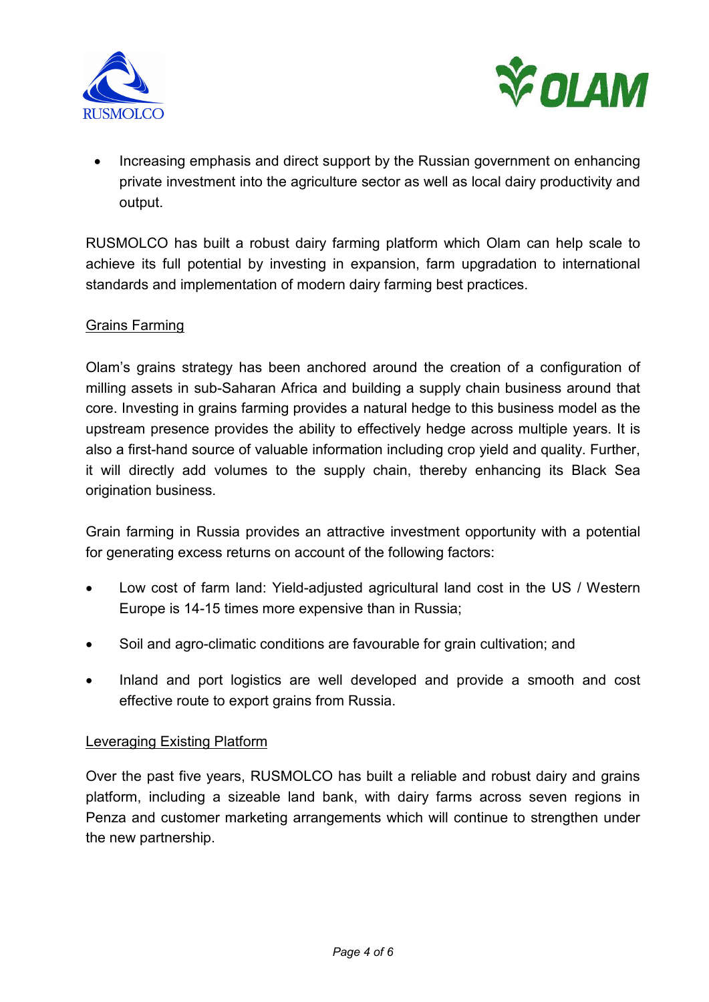



• Increasing emphasis and direct support by the Russian government on enhancing private investment into the agriculture sector as well as local dairy productivity and output.

RUSMOLCO has built a robust dairy farming platform which Olam can help scale to achieve its full potential by investing in expansion, farm upgradation to international standards and implementation of modern dairy farming best practices.

### Grains Farming

Olam's grains strategy has been anchored around the creation of a configuration of milling assets in sub-Saharan Africa and building a supply chain business around that core. Investing in grains farming provides a natural hedge to this business model as the upstream presence provides the ability to effectively hedge across multiple years. It is also a first-hand source of valuable information including crop yield and quality. Further, it will directly add volumes to the supply chain, thereby enhancing its Black Sea origination business.

Grain farming in Russia provides an attractive investment opportunity with a potential for generating excess returns on account of the following factors:

- Low cost of farm land: Yield-adjusted agricultural land cost in the US / Western Europe is 14-15 times more expensive than in Russia;
- Soil and agro-climatic conditions are favourable for grain cultivation; and
- Inland and port logistics are well developed and provide a smooth and cost effective route to export grains from Russia.

### Leveraging Existing Platform

Over the past five years, RUSMOLCO has built a reliable and robust dairy and grains platform, including a sizeable land bank, with dairy farms across seven regions in Penza and customer marketing arrangements which will continue to strengthen under the new partnership.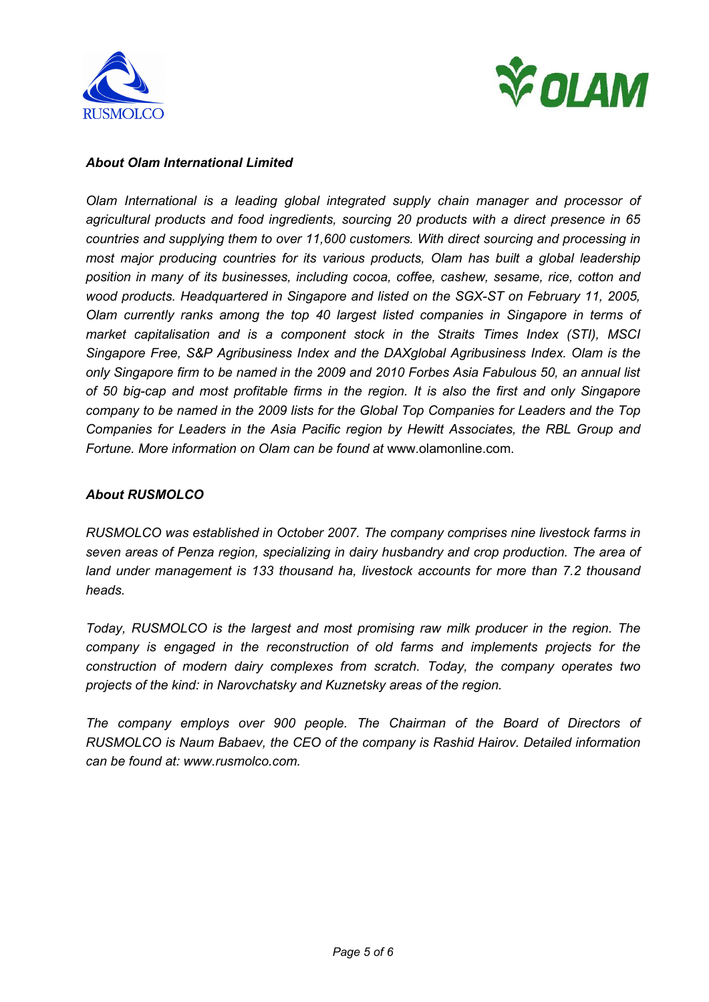



#### *About Olam International Limited*

*Olam International is a leading global integrated supply chain manager and processor of agricultural products and food ingredients, sourcing 20 products with a direct presence in 65 countries and supplying them to over 11,600 customers. With direct sourcing and processing in most major producing countries for its various products, Olam has built a global leadership position in many of its businesses, including cocoa, coffee, cashew, sesame, rice, cotton and wood products. Headquartered in Singapore and listed on the SGX-ST on February 11, 2005, Olam currently ranks among the top 40 largest listed companies in Singapore in terms of market capitalisation and is a component stock in the Straits Times Index (STI), MSCI Singapore Free, S&P Agribusiness Index and the DAXglobal Agribusiness Index. Olam is the only Singapore firm to be named in the 2009 and 2010 Forbes Asia Fabulous 50, an annual list of 50 big-cap and most profitable firms in the region. It is also the first and only Singapore company to be named in the 2009 lists for the Global Top Companies for Leaders and the Top Companies for Leaders in the Asia Pacific region by Hewitt Associates, the RBL Group and Fortune. More information on Olam can be found at* www.olamonline.com*.* 

#### *About RUSMOLCO*

*RUSMOLCO was established in October 2007. The company comprises nine livestock farms in seven areas of Penza region, specializing in dairy husbandry and crop production. The area of land under management is 133 thousand ha, livestock accounts for more than 7.2 thousand heads.* 

*Today, RUSMOLCO is the largest and most promising raw milk producer in the region. The company is engaged in the reconstruction of old farms and implements projects for the construction of modern dairy complexes from scratch. Today, the company operates two projects of the kind: in Narovchatsky and Kuznetsky areas of the region.* 

*The company employs over 900 people. The Chairman of the Board of Directors of RUSMOLCO is Naum Babaev, the CEO of the company is Rashid Hairov. Detailed information can be found at: www.rusmolco.com.*